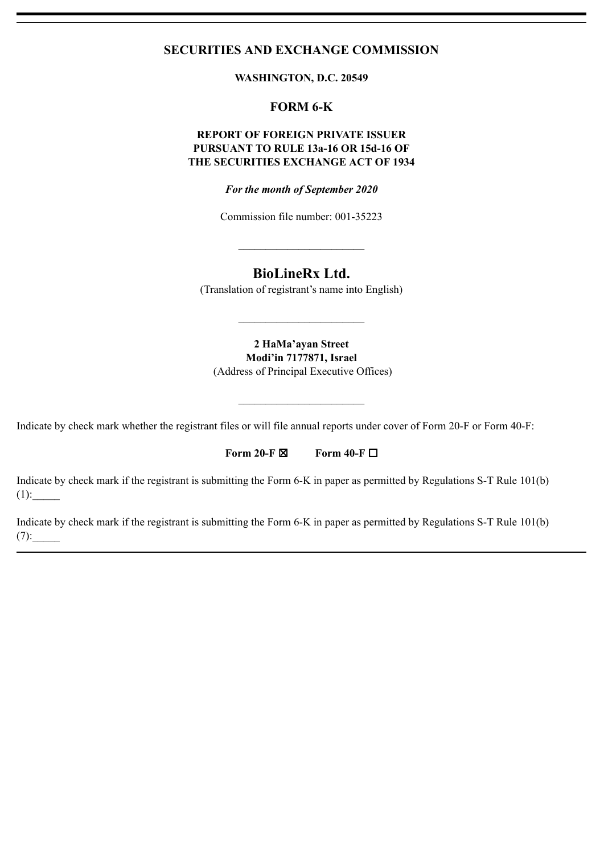## **SECURITIES AND EXCHANGE COMMISSION**

**WASHINGTON, D.C. 20549**

# **FORM 6-K**

### **REPORT OF FOREIGN PRIVATE ISSUER PURSUANT TO RULE 13a-16 OR 15d-16 OF THE SECURITIES EXCHANGE ACT OF 1934**

*For the month of September 2020*

Commission file number: 001-35223

 $\mathcal{L}_\text{max}$  and  $\mathcal{L}_\text{max}$  and  $\mathcal{L}_\text{max}$ 

## **BioLineRx Ltd.**

(Translation of registrant's name into English)

 $\mathcal{L}_\text{max}$  , where  $\mathcal{L}_\text{max}$ 

**2 HaMa'ayan Street Modi'in 7177871, Israel** (Address of Principal Executive Offices)

 $\mathcal{L}_\text{max}$  , where  $\mathcal{L}_\text{max}$ 

Indicate by check mark whether the registrant files or will file annual reports under cover of Form 20-F or Form 40-F:

**Form 20-F** ☒ **Form 40-F** ☐

Indicate by check mark if the registrant is submitting the Form 6-K in paper as permitted by Regulations S-T Rule 101(b)  $(1)$ :

Indicate by check mark if the registrant is submitting the Form 6-K in paper as permitted by Regulations S-T Rule 101(b)  $(7):$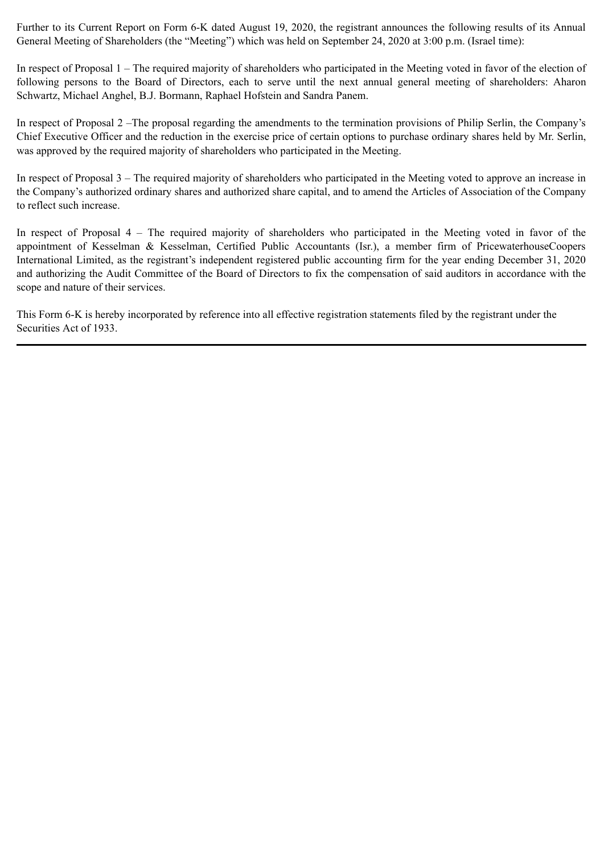Further to its Current Report on Form 6-K dated August 19, 2020, the registrant announces the following results of its Annual General Meeting of Shareholders (the "Meeting") which was held on September 24, 2020 at 3:00 p.m. (Israel time):

In respect of Proposal 1 – The required majority of shareholders who participated in the Meeting voted in favor of the election of following persons to the Board of Directors, each to serve until the next annual general meeting of shareholders: Aharon Schwartz, Michael Anghel, B.J. Bormann, Raphael Hofstein and Sandra Panem.

In respect of Proposal 2 –The proposal regarding the amendments to the termination provisions of Philip Serlin, the Company's Chief Executive Officer and the reduction in the exercise price of certain options to purchase ordinary shares held by Mr. Serlin, was approved by the required majority of shareholders who participated in the Meeting.

In respect of Proposal 3 – The required majority of shareholders who participated in the Meeting voted to approve an increase in the Company's authorized ordinary shares and authorized share capital, and to amend the Articles of Association of the Company to reflect such increase.

In respect of Proposal 4 – The required majority of shareholders who participated in the Meeting voted in favor of the appointment of Kesselman & Kesselman, Certified Public Accountants (Isr.), a member firm of PricewaterhouseCoopers International Limited, as the registrant's independent registered public accounting firm for the year ending December 31, 2020 and authorizing the Audit Committee of the Board of Directors to fix the compensation of said auditors in accordance with the scope and nature of their services.

This Form 6-K is hereby incorporated by reference into all effective registration statements filed by the registrant under the Securities Act of 1933.